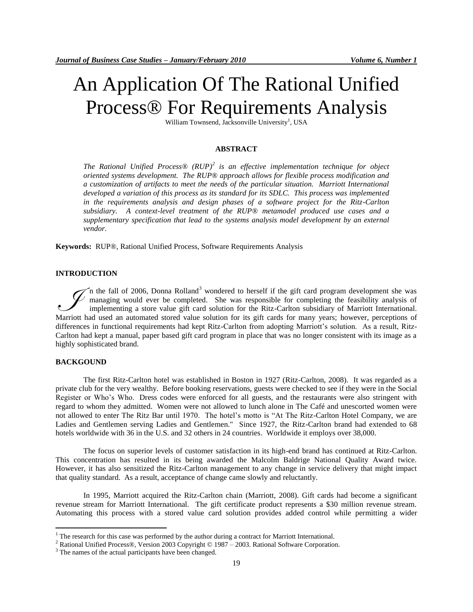# An Application Of The Rational Unified Process® For Requirements Analysis

William Townsend, Jacksonville University<sup>1</sup>, USA

## **ABSTRACT**

*The Rational Unified Process® (RUP)<sup>2</sup> is an effective implementation technique for object oriented systems development. The RUP*® *approach allows for flexible process modification and a customization of artifacts to meet the needs of the particular situation. Marriott International developed a variation of this process as its standard for its SDLC. This process was implemented in the requirements analysis and design phases of a software project for the Ritz-Carlton subsidiary. A context-level treatment of the RUP*® *metamodel produced use cases and a supplementary specification that lead to the systems analysis model development by an external vendor.* 

**Keywords:** RUP®, Rational Unified Process, Software Requirements Analysis

## **INTRODUCTION**

In the fall of 2006, Donna Rolland<sup>3</sup> wondered to herself if the gift card program development she was managing would ever be completed. She was responsible for completing the feasibility analysis of implementing a store value gift card solution for the Ritz-Carlton subsidiary of Marriott International. The fall of 2006, Donna Rolland<sup>3</sup> wondered to herself if the gift card program development she was managing would ever be completed. She was responsible for completing the feasibility analysis of implementing a store valu differences in functional requirements had kept Ritz-Carlton from adopting Marriott's solution. As a result, Ritz-Carlton had kept a manual, paper based gift card program in place that was no longer consistent with its image as a highly sophisticated brand.

# **BACKGOUND**

 $\overline{a}$ 

The first Ritz-Carlton hotel was established in Boston in 1927 (Ritz-Carlton, 2008). It was regarded as a private club for the very wealthy. Before booking reservations, guests were checked to see if they were in the Social Register or Who's Who. Dress codes were enforced for all guests, and the restaurants were also stringent with regard to whom they admitted. Women were not allowed to lunch alone in The Café and unescorted women were not allowed to enter The Ritz Bar until 1970. The hotel's motto is "At The Ritz-Carlton Hotel Company, we are Ladies and Gentlemen serving Ladies and Gentlemen." Since 1927, the Ritz-Carlton brand had extended to 68 hotels worldwide with 36 in the U.S. and 32 others in 24 countries. Worldwide it employs over 38,000.

The focus on superior levels of customer satisfaction in its high-end brand has continued at Ritz-Carlton. This concentration has resulted in its being awarded the Malcolm Baldrige National Quality Award twice. However, it has also sensitized the Ritz-Carlton management to any change in service delivery that might impact that quality standard. As a result, acceptance of change came slowly and reluctantly.

In 1995, Marriott acquired the Ritz-Carlton chain (Marriott, 2008). Gift cards had become a significant revenue stream for Marriott International. The gift certificate product represents a \$30 million revenue stream. Automating this process with a stored value card solution provides added control while permitting a wider

 $1$  The research for this case was performed by the author during a contract for Marriott International.

<sup>2</sup> Rational Unified Process®, Version 2003 Copyright © 1987 – 2003. Rational Software Corporation.

<sup>&</sup>lt;sup>3</sup> The names of the actual participants have been changed.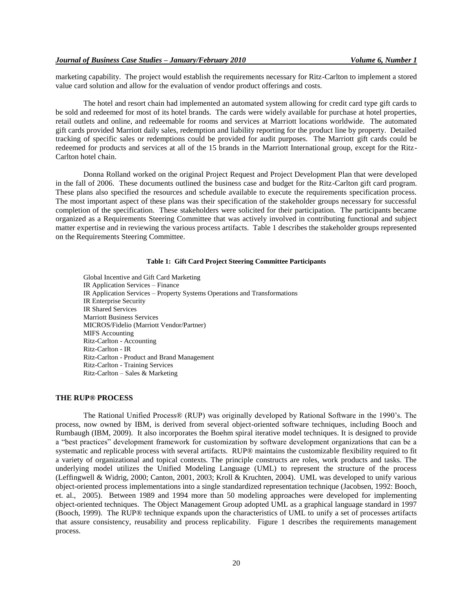marketing capability. The project would establish the requirements necessary for Ritz-Carlton to implement a stored value card solution and allow for the evaluation of vendor product offerings and costs.

The hotel and resort chain had implemented an automated system allowing for credit card type gift cards to be sold and redeemed for most of its hotel brands. The cards were widely available for purchase at hotel properties, retail outlets and online, and redeemable for rooms and services at Marriott locations worldwide. The automated gift cards provided Marriott daily sales, redemption and liability reporting for the product line by property. Detailed tracking of specific sales or redemptions could be provided for audit purposes. The Marriott gift cards could be redeemed for products and services at all of the 15 brands in the Marriott International group, except for the Ritz-Carlton hotel chain.

Donna Rolland worked on the original Project Request and Project Development Plan that were developed in the fall of 2006. These documents outlined the business case and budget for the Ritz-Carlton gift card program. These plans also specified the resources and schedule available to execute the requirements specification process. The most important aspect of these plans was their specification of the stakeholder groups necessary for successful completion of the specification. These stakeholders were solicited for their participation. The participants became organized as a Requirements Steering Committee that was actively involved in contributing functional and subject matter expertise and in reviewing the various process artifacts. Table 1 describes the stakeholder groups represented on the Requirements Steering Committee.

## **Table 1: Gift Card Project Steering Committee Participants**

Global Incentive and Gift Card Marketing IR Application Services – Finance IR Application Services – Property Systems Operations and Transformations IR Enterprise Security IR Shared Services Marriott Business Services MICROS/Fidelio (Marriott Vendor/Partner) MIFS Accounting Ritz-Carlton - Accounting Ritz-Carlton - IR Ritz-Carlton - Product and Brand Management Ritz-Carlton - Training Services Ritz-Carlton – Sales & Marketing

## **THE RUP® PROCESS**

The Rational Unified Process® (RUP) was originally developed by Rational Software in the 1990's. The process, now owned by IBM, is derived from several object-oriented software techniques, including Booch and Rumbaugh (IBM, 2009). It also incorporates the Boehm spiral iterative model techniques. It is designed to provide a "best practices" development framework for customization by software development organizations that can be a systematic and replicable process with several artifacts. RUP® maintains the customizable flexibility required to fit a variety of organizational and topical contexts. The principle constructs are roles, work products and tasks. The underlying model utilizes the Unified Modeling Language (UML) to represent the structure of the process (Leffingwell & Widrig, 2000; Canton, 2001, 2003; Kroll & Kruchten, 2004). UML was developed to unify various object-oriented process implementations into a single standardized representation technique (Jacobsen, 1992: Booch, et. al., 2005). Between 1989 and 1994 more than 50 modeling approaches were developed for implementing object-oriented techniques. The Object Management Group adopted UML as a graphical language standard in 1997 (Booch, 1999). The RUP® technique expands upon the characteristics of UML to unify a set of processes artifacts that assure consistency, reusability and process replicability. Figure 1 describes the requirements management process.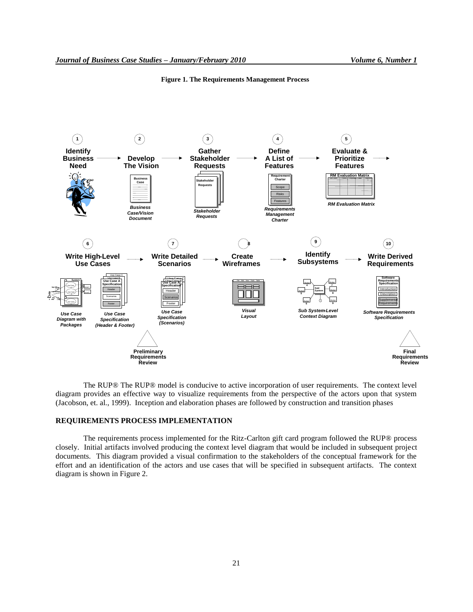

**Figure 1. The Requirements Management Process**

The RUP® The RUP® model is conducive to active incorporation of user requirements. The context level diagram provides an effective way to visualize requirements from the perspective of the actors upon that system (Jacobson, et. al., 1999). Inception and elaboration phases are followed by construction and transition phases

# **REQUIREMENTS PROCESS IMPLEMENTATION**

The requirements process implemented for the Ritz-Carlton gift card program followed the RUP® process closely. Initial artifacts involved producing the context level diagram that would be included in subsequent project documents. This diagram provided a visual confirmation to the stakeholders of the conceptual framework for the effort and an identification of the actors and use cases that will be specified in subsequent artifacts. The context diagram is shown in Figure 2.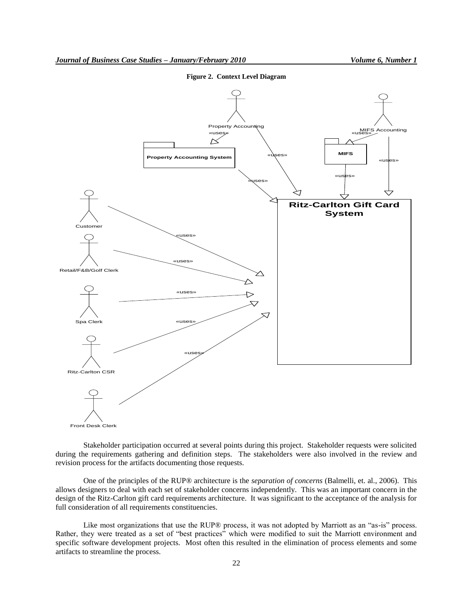

**Figure 2. Context Level Diagram**

Front Desk Clerk

Stakeholder participation occurred at several points during this project. Stakeholder requests were solicited during the requirements gathering and definition steps. The stakeholders were also involved in the review and revision process for the artifacts documenting those requests.

One of the principles of the RUP® architecture is the *separation of concerns* (Balmelli, et. al., 2006). This allows designers to deal with each set of stakeholder concerns independently. This was an important concern in the design of the Ritz-Carlton gift card requirements architecture. It was significant to the acceptance of the analysis for full consideration of all requirements constituencies.

Like most organizations that use the RUP® process, it was not adopted by Marriott as an "as-is" process. Rather, they were treated as a set of "best practices" which were modified to suit the Marriott environment and specific software development projects. Most often this resulted in the elimination of process elements and some artifacts to streamline the process.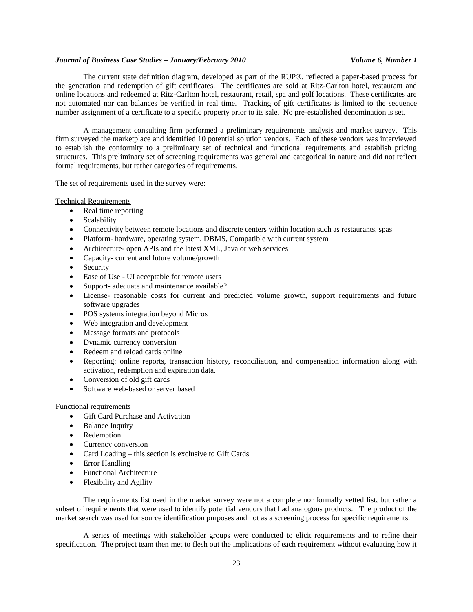## *Journal of Business Case Studies – January/February 2010 Volume 6, Number 1*

The current state definition diagram, developed as part of the RUP®, reflected a paper-based process for the generation and redemption of gift certificates. The certificates are sold at Ritz-Carlton hotel, restaurant and online locations and redeemed at Ritz-Carlton hotel, restaurant, retail, spa and golf locations. These certificates are not automated nor can balances be verified in real time. Tracking of gift certificates is limited to the sequence number assignment of a certificate to a specific property prior to its sale. No pre-established denomination is set.

A management consulting firm performed a preliminary requirements analysis and market survey. This firm surveyed the marketplace and identified 10 potential solution vendors. Each of these vendors was interviewed to establish the conformity to a preliminary set of technical and functional requirements and establish pricing structures. This preliminary set of screening requirements was general and categorical in nature and did not reflect formal requirements, but rather categories of requirements.

The set of requirements used in the survey were:

#### Technical Requirements

- Real time reporting
- Scalability
- Connectivity between remote locations and discrete centers within location such as restaurants, spas
- Platform- hardware, operating system, DBMS, Compatible with current system
- Architecture- open APIs and the latest XML, Java or web services
- Capacity- current and future volume/growth
- Security
- Ease of Use UI acceptable for remote users
- Support- adequate and maintenance available?
- License- reasonable costs for current and predicted volume growth, support requirements and future software upgrades
- POS systems integration beyond Micros
- Web integration and development
- Message formats and protocols
- Dynamic currency conversion
- Redeem and reload cards online
- Reporting: online reports, transaction history, reconciliation, and compensation information along with activation, redemption and expiration data.
- Conversion of old gift cards
- Software web-based or server based

## Functional requirements

- Gift Card Purchase and Activation
- Balance Inquiry
- Redemption
- Currency conversion
- Card Loading this section is exclusive to Gift Cards
- Error Handling
- Functional Architecture
- Flexibility and Agility

The requirements list used in the market survey were not a complete nor formally vetted list, but rather a subset of requirements that were used to identify potential vendors that had analogous products. The product of the market search was used for source identification purposes and not as a screening process for specific requirements.

A series of meetings with stakeholder groups were conducted to elicit requirements and to refine their specification. The project team then met to flesh out the implications of each requirement without evaluating how it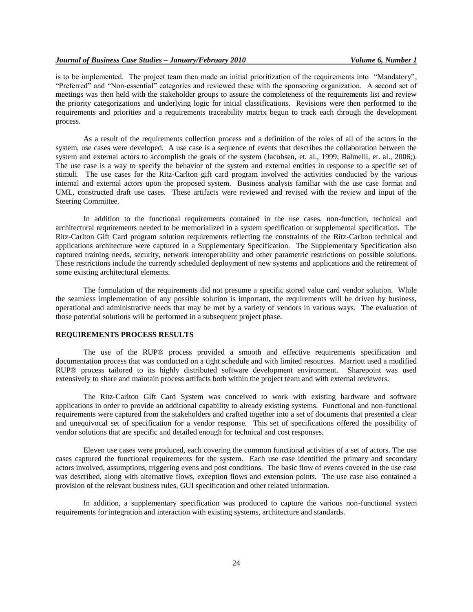is to be implemented. The project team then made an initial prioritization of the requirements into "Mandatory", "Preferred" and "Non-essential" categories and reviewed these with the sponsoring organization. A second set of meetings was then held with the stakeholder groups to assure the completeness of the requirements list and review the priority categorizations and underlying logic for initial classifications. Revisions were then performed to the requirements and priorities and a requirements traceability matrix begun to track each through the development process.

As a result of the requirements collection process and a definition of the roles of all of the actors in the system, use cases were developed. A use case is a sequence of events that describes the collaboration between the system and external actors to accomplish the goals of the system (Jacobsen, et. al., 1999; Balmelli, et. al., 2006;). The use case is a way to specify the behavior of the system and external entities in response to a specific set of stimuli. The use cases for the Ritz-Carlton gift card program involved the activities conducted by the various internal and external actors upon the proposed system. Business analysts familiar with the use case format and UML, constructed draft use cases. These artifacts were reviewed and revised with the review and input of the Steering Committee.

In addition to the functional requirements contained in the use cases, non-function, technical and architectural requirements needed to be memorialized in a system specification or supplemental specification. The Ritz-Carlton Gift Card program solution requirements reflecting the constraints of the Ritz-Carlton technical and applications architecture were captured in a Supplementary Specification. The Supplementary Specification also captured training needs, security, network interoperability and other parametric restrictions on possible solutions. These restrictions include the currently scheduled deployment of new systems and applications and the retirement of some existing architectural elements.

The formulation of the requirements did not presume a specific stored value card vendor solution. While the seamless implementation of any possible solution is important, the requirements will be driven by business, operational and administrative needs that may be met by a variety of vendors in various ways. The evaluation of those potential solutions will be performed in a subsequent project phase.

## **REQUIREMENTS PROCESS RESULTS**

The use of the RUP® process provided a smooth and effective requirements specification and documentation process that was conducted on a tight schedule and with limited resources. Marriott used a modified RUP® process tailored to its highly distributed software development environment. Sharepoint was used extensively to share and maintain process artifacts both within the project team and with external reviewers.

The Ritz-Carlton Gift Card System was conceived to work with existing hardware and software applications in order to provide an additional capability to already existing systems. Functional and non-functional requirements were captured from the stakeholders and crafted together into a set of documents that presented a clear and unequivocal set of specification for a vendor response. This set of specifications offered the possibility of vendor solutions that are specific and detailed enough for technical and cost responses.

Eleven use cases were produced, each covering the common functional activities of a set of actors. The use cases captured the functional requirements for the system. Each use case identified the primary and secondary actors involved, assumptions, triggering evens and post conditions. The basic flow of events covered in the use case was described, along with alternative flows, exception flows and extension points. The use case also contained a provision of the relevant business rules, GUI specification and other related information.

In addition, a supplementary specification was produced to capture the various non-functional system requirements for integration and interaction with existing systems, architecture and standards.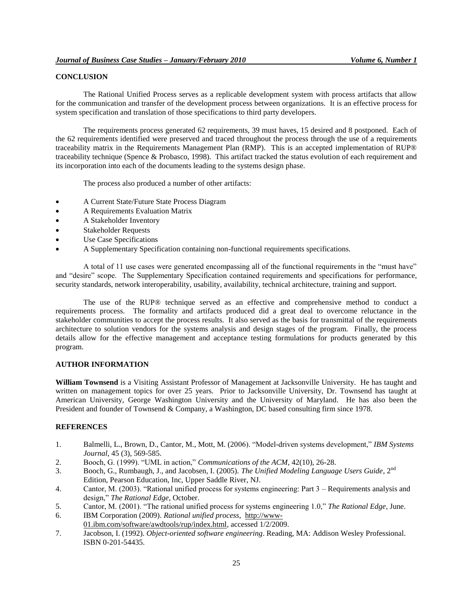# **CONCLUSION**

The Rational Unified Process serves as a replicable development system with process artifacts that allow for the communication and transfer of the development process between organizations. It is an effective process for system specification and translation of those specifications to third party developers.

The requirements process generated 62 requirements, 39 must haves, 15 desired and 8 postponed. Each of the 62 requirements identified were preserved and traced throughout the process through the use of a requirements traceability matrix in the Requirements Management Plan (RMP). This is an accepted implementation of RUP® traceability technique (Spence & Probasco, 1998). This artifact tracked the status evolution of each requirement and its incorporation into each of the documents leading to the systems design phase.

The process also produced a number of other artifacts:

- A Current State/Future State Process Diagram
- A Requirements Evaluation Matrix
- A Stakeholder Inventory
- Stakeholder Requests
- Use Case Specifications
- A Supplementary Specification containing non-functional requirements specifications.

A total of 11 use cases were generated encompassing all of the functional requirements in the "must have" and "desire" scope. The Supplementary Specification contained requirements and specifications for performance, security standards, network interoperability, usability, availability, technical architecture, training and support.

The use of the RUP® technique served as an effective and comprehensive method to conduct a requirements process. The formality and artifacts produced did a great deal to overcome reluctance in the stakeholder communities to accept the process results. It also served as the basis for transmittal of the requirements architecture to solution vendors for the systems analysis and design stages of the program. Finally, the process details allow for the effective management and acceptance testing formulations for products generated by this program.

## **AUTHOR INFORMATION**

**William Townsend** is a Visiting Assistant Professor of Management at Jacksonville University. He has taught and written on management topics for over 25 years. Prior to Jacksonville University, Dr. Townsend has taught at American University, George Washington University and the University of Maryland. He has also been the President and founder of Townsend & Company, a Washington, DC based consulting firm since 1978.

# **REFERENCES**

- 1. Balmelli, L., Brown, D., Cantor, M., Mott, M. (2006). "Model-driven systems development," *IBM Systems Journal*, 45 (3), 569-585.
- 2. Booch, G. (1999). "UML in action," *Communications of the ACM*, 42(10), 26-28.
- 3. Booch, G., Rumbaugh, J., and Jacobsen, I. (2005). *The Unified Modeling Language Users Guide*, 2nd Edition, Pearson Education, Inc, Upper Saddle River, NJ.
- 4. Cantor, M. (2003). "Rational unified process for systems engineering: Part 3 Requirements analysis and design," *The Rational Edge*, October.
- 5. Cantor, M. (2001). "The rational unified process for systems engineering 1.0," *The Rational Edge*, June.
- 6. IBM Corporation (2009). *Rational unified process*, [http://www-](http://www-01.ibm.com/software/awdtools/rup/index.html)
- [01.ibm.com/software/awdtools/rup/index.html,](http://www-01.ibm.com/software/awdtools/rup/index.html) accessed 1/2/2009. 7. Jacobson, I. (1992). *Object-oriented software engineering*. Reading, MA: Addison Wesley Professional.
- ISBN 0-201-54435.